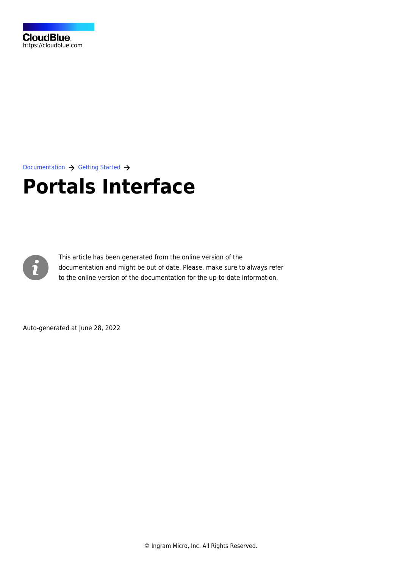

[Documentation](https://connect.cloudblue.com/documentation)  $\rightarrow$  [Getting Started](https://connect.cloudblue.com/community/getting-started/)  $\rightarrow$ 

# **[Portals Interface](https://connect.cloudblue.com/community/getting-started/portals/)**



This article has been generated from the online version of the documentation and might be out of date. Please, make sure to always refer to the online version of the documentation for the up-to-date information.

Auto-generated at June 28, 2022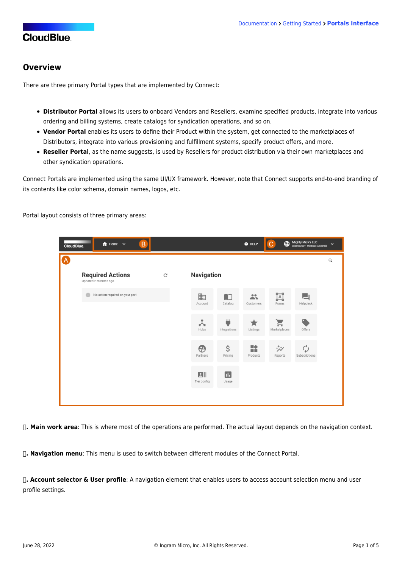### **Overview**

There are three primary Portal types that are implemented by Connect:

- **Distributor Portal** allows its users to onboard Vendors and Resellers, examine specified products, integrate into various ordering and billing systems, create catalogs for syndication operations, and so on.
- **Vendor Portal** enables its users to define their Product within the system, get connected to the marketplaces of Distributors, integrate into various provisioning and fulfillment systems, specify product offers, and more.
- **Reseller Portal**, as the name suggests, is used by Resellers for product distribution via their own marketplaces and other syndication operations.

Connect Portals are implemented using the same UI/UX framework. However, note that Connect supports end-to-end branding of its contents like color schema, domain names, logos, etc.

Portal layout consists of three primary areas:



**Ⓐ. Main work area**: This is where most of the operations are performed. The actual layout depends on the navigation context.

**Ⓑ. Navigation menu**: This menu is used to switch between different modules of the Connect Portal.

**Ⓒ. Account selector & User profile**: A navigation element that enables users to access account selection menu and user profile settings.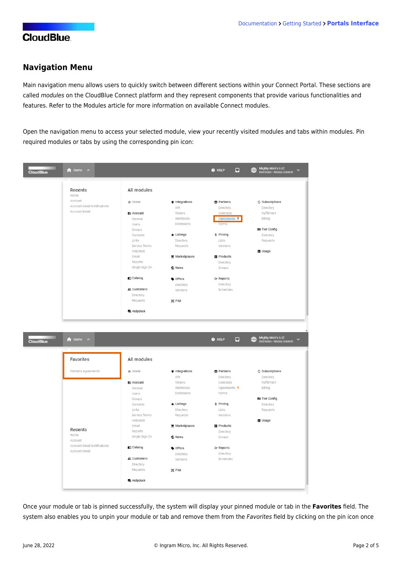### **Navigation Menu**

Main navigation menu allows users to quickly switch between different sections within your Connect Portal. These sections are called modules on the CloudBlue Connect platform and they represent components that provide various functionalities and features. Refer to the [Modules](https://connect.cloudblue.com/community/modules/) article for more information on available Connect modules.

Open the navigation menu to access your selected module, view your recently visited modules and tabs within modules. Pin required modules or tabs by using the corresponding pin icon:

| <b>CloudBlue</b> | <b>f</b> Home<br>$\lambda$  |                   |                       |                     |                                                         |
|------------------|-----------------------------|-------------------|-----------------------|---------------------|---------------------------------------------------------|
|                  |                             |                   |                       |                     |                                                         |
|                  | Recents                     | All modules       |                       |                     |                                                         |
|                  | Home                        |                   |                       |                     |                                                         |
|                  | Account                     | <b>←</b> Home     | Integrations          | <b>A</b> Partners   | C Subscriptions                                         |
|                  | Account Email Notifications |                   | API                   | Directory           | Directory                                               |
|                  | Account Email               | <b>m</b> Account  | Tokens                | Contracts           | Fulfillment                                             |
|                  |                             | General           | Webhooks              | Agreements <b>平</b> | Billing                                                 |
|                  |                             | Users             | Extensions            | Forms               |                                                         |
|                  |                             | Groups            |                       |                     | <b>BII</b> Tier Config                                  |
|                  |                             | Contacts          | $\bigstar$ Listings   | \$ Pricing          | Directory                                               |
|                  |                             | Links             | Directory             | Lists               | Requests                                                |
|                  |                             | Service Terms     | Requests              | Versions            |                                                         |
|                  |                             | Helpdesk          |                       |                     | <b>B</b> Usage                                          |
|                  |                             | Email             | <b>■</b> Marketplaces | Products            |                                                         |
|                  |                             | Reports           |                       | Directory           |                                                         |
|                  |                             | Single Sign On    | C News                | Groups              |                                                         |
|                  |                             | Catalog           | ♦ Offers              | シ Reports           |                                                         |
|                  |                             |                   | Directory             | Directory           |                                                         |
|                  |                             | ዹ Customers       | Versions              | Schedules           |                                                         |
|                  |                             | Directory         |                       |                     |                                                         |
|                  |                             | Requests          | ® PIM                 |                     |                                                         |
|                  |                             | <b>司</b> Helpdesk |                       |                     |                                                         |
| <b>CloudBlue</b> | <b>f</b> Home<br>$\lambda$  |                   |                       | $Q$ HELP<br>$\Box$  | Mighty Mick's LLC<br>Distributor · Mickey Goldmill<br>⊕ |
|                  |                             |                   |                       |                     | $\checkmark$                                            |
|                  | Favorites                   | All modules       |                       |                     |                                                         |
|                  | Partners Agreements         | <b>←</b> Home     | Integrations          | <b>A</b> Partners   | <b>◇ Subscriptions</b>                                  |
|                  |                             |                   | API                   | Directory           | Directory                                               |
|                  |                             | <b>h</b> Account  | Tokens                | Contracts           | Fulfillment                                             |
|                  |                             | General           | Webhooks              | Agreements 平        | Billing                                                 |
|                  |                             | Users             | Extensions            | Forms               |                                                         |
|                  |                             | Groups            |                       |                     | <b>BII</b> Tier Config                                  |
|                  |                             | Contacts          | $\bigstar$ Listings   | \$ Pricing          | Directory                                               |
|                  |                             | Links             | Directory             | Lists               | Requests                                                |
|                  |                             | Service Terms     | Requests              | Versions            |                                                         |
|                  |                             | Helpdesk          |                       |                     | <b>B</b> Usage                                          |
|                  |                             | Email             | Marketplaces          | ■ Products          |                                                         |
|                  | Recents                     | Reports           |                       | Directory           |                                                         |
|                  | Home<br>Account             | Single Sign On    | C News                | Groups              |                                                         |
|                  | Account Email Notifications | Catalog           | <b>Offers</b>         | シ Reports           |                                                         |
|                  | Account Email               |                   |                       | Directory           |                                                         |
|                  |                             | ዹ Customers       | Directory<br>Versions | Schedules           |                                                         |
|                  |                             | Directory         |                       |                     |                                                         |
|                  |                             | Requests          | (e) PIM               |                     |                                                         |

Once your module or tab is pinned successfully, the system will display your pinned module or tab in the **Favorites** field. The system also enables you to unpin your module or tab and remove them from the Favorites field by clicking on the pin icon once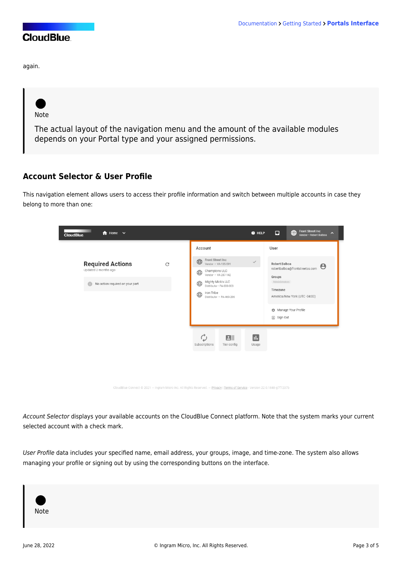again.

Note

The actual layout of the navigation menu and the amount of the available modules depends on your Portal type and your assigned permissions.

## **Account Selector & User Profile**

This navigation element allows users to access their profile information and switch between multiple accounts in case they belong to more than one:



CloudBlue Connect @ 2021 - Ingram Micro Inc. All Rights Reserved. - Privacy | Terms of Service - Version 22.0.1848-g7f7237b

Account Selector displays your available accounts on the CloudBlue Connect platform. Note that the system marks your current selected account with a check mark.

User Profile data includes your specified name, email address, your groups, image, and time-zone. The system also allows managing your profile or signing out by using the corresponding buttons on the interface.

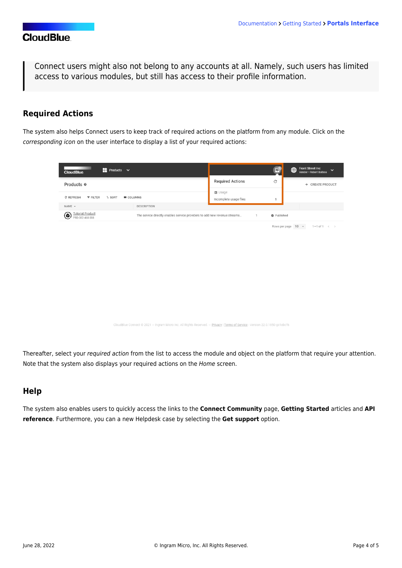Connect users might also not belong to any accounts at all. Namely, such users has limited access to various modules, but still has access to their profile information.

## **Required Actions**

The system also helps Connect users to keep track of required actions on the platform from any module. Click on the corresponding icon on the user interface to display a list of your required actions:

| $\blacksquare$ Products $\vee$<br><b>CloudBlue</b>                                                                          |                                                                           | $\Box$                    | <b>Front Street Inc</b><br>$\bigoplus$<br>$\checkmark$<br>Vendor · Robert Balboa |  |  |  |  |
|-----------------------------------------------------------------------------------------------------------------------------|---------------------------------------------------------------------------|---------------------------|----------------------------------------------------------------------------------|--|--|--|--|
| Products @                                                                                                                  | <b>Required Actions</b>                                                   | $\rm{C}$                  | + CREATE PRODUCT                                                                 |  |  |  |  |
| C REFRESH<br><b>F FILTER</b><br>$L$ SORT<br><b>III</b> COLUMNS                                                              | <b>B</b> Usage<br>Incomplete usage files                                  | $\mathbf{1}$              |                                                                                  |  |  |  |  |
| NAME -<br>DESCRIPTION                                                                                                       |                                                                           |                           |                                                                                  |  |  |  |  |
| <b>Tutorial Product</b><br>◉<br>PRD-382-460-388                                                                             | The service directly enables service providers to add new revenue streams | Published<br>$\mathbf{1}$ |                                                                                  |  |  |  |  |
|                                                                                                                             |                                                                           |                           | $1-1$ of $1 \leq$<br>Rows per page 10 -                                          |  |  |  |  |
|                                                                                                                             |                                                                           |                           |                                                                                  |  |  |  |  |
|                                                                                                                             |                                                                           |                           |                                                                                  |  |  |  |  |
|                                                                                                                             |                                                                           |                           |                                                                                  |  |  |  |  |
|                                                                                                                             |                                                                           |                           |                                                                                  |  |  |  |  |
|                                                                                                                             |                                                                           |                           |                                                                                  |  |  |  |  |
|                                                                                                                             |                                                                           |                           |                                                                                  |  |  |  |  |
|                                                                                                                             |                                                                           |                           |                                                                                  |  |  |  |  |
|                                                                                                                             |                                                                           |                           |                                                                                  |  |  |  |  |
|                                                                                                                             |                                                                           |                           |                                                                                  |  |  |  |  |
|                                                                                                                             |                                                                           |                           |                                                                                  |  |  |  |  |
| CloudBlue Connect @ 2021 - Ingram Micro Inc. All Rights Reserved. - Privacy   Terms of Service - Version 22.0.1850-gc1ebcf6 |                                                                           |                           |                                                                                  |  |  |  |  |

Thereafter, select your required action from the list to access the module and object on the platform that require your attention. Note that the system also displays your required actions on the Home screen.

## **Help**

The system also enables users to quickly access the links to the **Connect Community** page, **Getting Started** articles and **API reference**. Furthermore, you can a new Helpdesk case by selecting the **Get support** option.